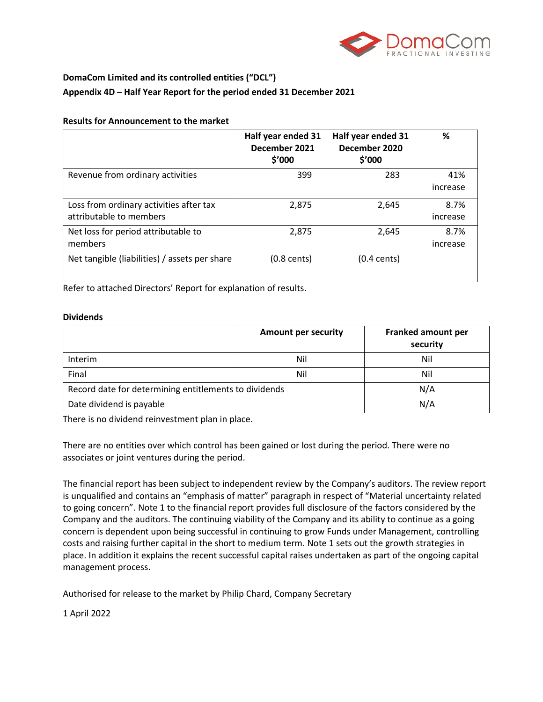

# **DomaCom Limited and its controlled entities ("DCL") Appendix 4D – Half Year Report for the period ended 31 December 2021**

#### **Results for Announcement to the market**

|                                                                    | Half year ended 31<br>December 2021<br>\$'000 | Half year ended 31<br>December 2020<br>\$'000 | %                |
|--------------------------------------------------------------------|-----------------------------------------------|-----------------------------------------------|------------------|
| Revenue from ordinary activities                                   | 399                                           | 283                                           | 41%<br>increase  |
| Loss from ordinary activities after tax<br>attributable to members | 2,875                                         | 2,645                                         | 8.7%<br>increase |
| Net loss for period attributable to<br>members                     | 2,875                                         | 2,645                                         | 8.7%<br>increase |
| Net tangible (liabilities) / assets per share                      | $(0.8 \text{ cents})$                         | $(0.4 \text{ cents})$                         |                  |

Refer to attached Directors' Report for explanation of results.

#### **Dividends**

|                                                       | <b>Amount per security</b> | <b>Franked amount per</b><br>security |
|-------------------------------------------------------|----------------------------|---------------------------------------|
| <b>Interim</b>                                        | Nil                        | Nil                                   |
| Final                                                 | Nil                        | Nil                                   |
| Record date for determining entitlements to dividends |                            | N/A                                   |
| Date dividend is payable                              |                            | N/A                                   |

There is no dividend reinvestment plan in place.

There are no entities over which control has been gained or lost during the period. There were no associates or joint ventures during the period.

The financial report has been subject to independent review by the Company's auditors. The review report is unqualified and contains an "emphasis of matter" paragraph in respect of "Material uncertainty related to going concern". Note 1 to the financial report provides full disclosure of the factors considered by the Company and the auditors. The continuing viability of the Company and its ability to continue as a going concern is dependent upon being successful in continuing to grow Funds under Management, controlling costs and raising further capital in the short to medium term. Note 1 sets out the growth strategies in place. In addition it explains the recent successful capital raises undertaken as part of the ongoing capital management process.

Authorised for release to the market by Philip Chard, Company Secretary

1 April 2022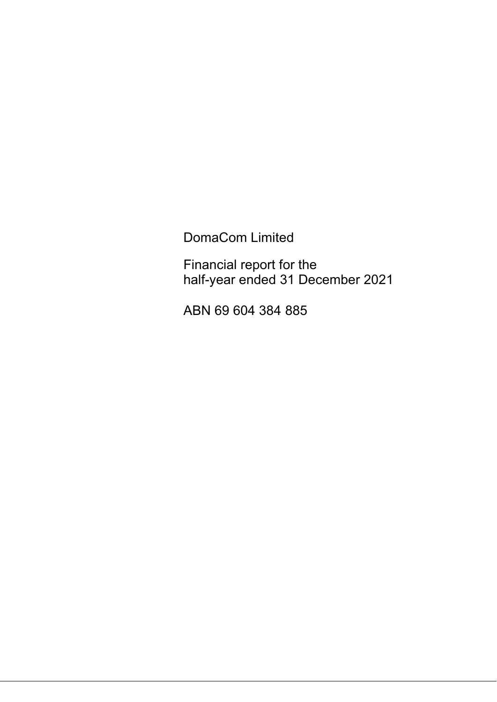DomaCom Limited

Financial report for the half-year ended 31 December 2021

ABN 69 604 384 885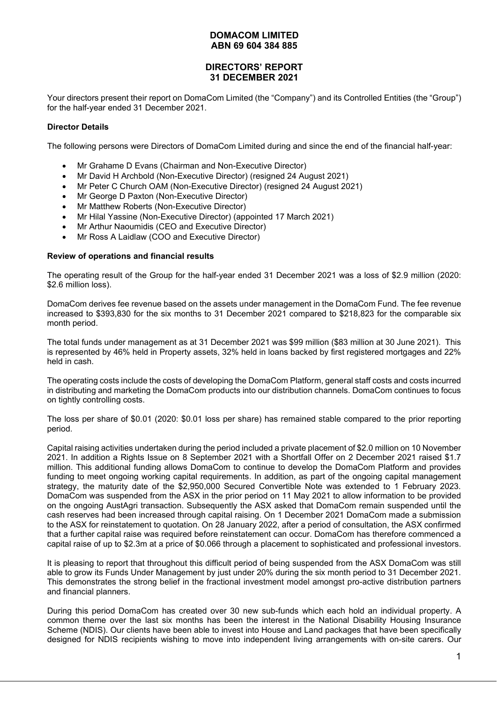## **DIRECTORS' REPORT 31 DECEMBER 2021**

Your directors present their report on DomaCom Limited (the "Company") and its Controlled Entities (the "Group") for the half-year ended 31 December 2021.

#### **Director Details**

The following persons were Directors of DomaCom Limited during and since the end of the financial half-year:

- Mr Grahame D Evans (Chairman and Non-Executive Director)
- Mr David H Archbold (Non-Executive Director) (resigned 24 August 2021)
- Mr Peter C Church OAM (Non-Executive Director) (resigned 24 August 2021)
- Mr George D Paxton (Non-Executive Director)
- Mr Matthew Roberts (Non-Executive Director)
- Mr Hilal Yassine (Non-Executive Director) (appointed 17 March 2021)
- Mr Arthur Naoumidis (CEO and Executive Director)
- Mr Ross A Laidlaw (COO and Executive Director)

#### **Review of operations and financial results**

The operating result of the Group for the half-year ended 31 December 2021 was a loss of \$2.9 million (2020: \$2.6 million loss).

DomaCom derives fee revenue based on the assets under management in the DomaCom Fund. The fee revenue increased to \$393,830 for the six months to 31 December 2021 compared to \$218,823 for the comparable six month period.

The total funds under management as at 31 December 2021 was \$99 million (\$83 million at 30 June 2021). This is represented by 46% held in Property assets, 32% held in loans backed by first registered mortgages and 22% held in cash.

The operating costs include the costs of developing the DomaCom Platform, general staff costs and costs incurred in distributing and marketing the DomaCom products into our distribution channels. DomaCom continues to focus on tightly controlling costs.

The loss per share of \$0.01 (2020: \$0.01 loss per share) has remained stable compared to the prior reporting period.

Capital raising activities undertaken during the period included a private placement of \$2.0 million on 10 November 2021. In addition a Rights Issue on 8 September 2021 with a Shortfall Offer on 2 December 2021 raised \$1.7 million. This additional funding allows DomaCom to continue to develop the DomaCom Platform and provides funding to meet ongoing working capital requirements. In addition, as part of the ongoing capital management strategy, the maturity date of the \$2,950,000 Secured Convertible Note was extended to 1 February 2023. DomaCom was suspended from the ASX in the prior period on 11 May 2021 to allow information to be provided on the ongoing AustAgri transaction. Subsequently the ASX asked that DomaCom remain suspended until the cash reserves had been increased through capital raising. On 1 December 2021 DomaCom made a submission to the ASX for reinstatement to quotation. On 28 January 2022, after a period of consultation, the ASX confirmed that a further capital raise was required before reinstatement can occur. DomaCom has therefore commenced a capital raise of up to \$2.3m at a price of \$0.066 through a placement to sophisticated and professional investors.

It is pleasing to report that throughout this difficult period of being suspended from the ASX DomaCom was still able to grow its Funds Under Management by just under 20% during the six month period to 31 December 2021. This demonstrates the strong belief in the fractional investment model amongst pro-active distribution partners and financial planners.

During this period DomaCom has created over 30 new sub-funds which each hold an individual property. A common theme over the last six months has been the interest in the National Disability Housing Insurance Scheme (NDIS). Our clients have been able to invest into House and Land packages that have been specifically designed for NDIS recipients wishing to move into independent living arrangements with on-site carers. Our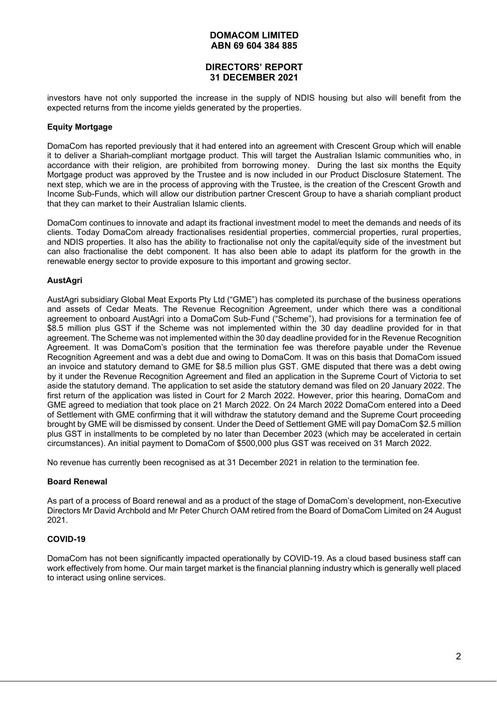## **DIRECTORS' REPORT 31 DECEMBER 2021**

investors have not only supported the increase in the supply of NDIS housing but also will benefit from the expected returns from the income yields generated by the properties.

## **Equity Mortgage**

DomaCom has reported previously that it had entered into an agreement with Crescent Group which will enable it to deliver a Shariah-compliant mortgage product. This will target the Australian Islamic communities who, in accordance with their religion, are prohibited from borrowing money. During the last six months the Equity Mortgage product was approved by the Trustee and is now included in our Product Disclosure Statement. The next step, which we are in the process of approving with the Trustee, is the creation of the Crescent Growth and Income Sub-Funds, which will allow our distribution partner Crescent Group to have a shariah compliant product that they can market to their Australian Islamic clients.

DomaCom continues to innovate and adapt its fractional investment model to meet the demands and needs of its clients. Today DomaCom already fractionalises residential properties, commercial properties, rural properties, and NDIS properties. It also has the ability to fractionalise not only the capital/equity side of the investment but can also fractionalise the debt component. It has also been able to adapt its platform for the growth in the renewable energy sector to provide exposure to this important and growing sector.

#### **AustAgri**

AustAgri subsidiary Global Meat Exports Pty Ltd ("GME") has completed its purchase of the business operations and assets of Cedar Meats. The Revenue Recognition Agreement, under which there was a conditional agreement to onboard AustAgri into a DomaCom Sub-Fund ("Scheme"), had provisions for a termination fee of \$8.5 million plus GST if the Scheme was not implemented within the 30 day deadline provided for in that agreement. The Scheme was not implemented within the 30 day deadline provided for in the Revenue Recognition Agreement. It was DomaCom's position that the termination fee was therefore payable under the Revenue Recognition Agreement and was a debt due and owing to DomaCom. It was on this basis that DomaCom issued an invoice and statutory demand to GME for \$8.5 million plus GST. GME disputed that there was a debt owing by it under the Revenue Recognition Agreement and filed an application in the Supreme Court of Victoria to set aside the statutory demand. The application to set aside the statutory demand was filed on 20 January 2022. The first return of the application was listed in Court for 2 March 2022. However, prior this hearing, DomaCom and GME agreed to mediation that took place on 21 March 2022. On 24 March 2022 DomaCom entered into a Deed of Settlement with GME confirming that it will withdraw the statutory demand and the Supreme Court proceeding brought by GME will be dismissed by consent. Under the Deed of Settlement GME will pay DomaCom \$2.5 million plus GST in installments to be completed by no later than December 2023 (which may be accelerated in certain circumstances). An initial payment to DomaCom of \$500,000 plus GST was received on 31 March 2022.

No revenue has currently been recognised as at 31 December 2021 in relation to the termination fee.

#### **Board Renewal**

As part of a process of Board renewal and as a product of the stage of DomaCom's development, non-Executive Directors Mr David Archbold and Mr Peter Church OAM retired from the Board of DomaCom Limited on 24 August 2021.

#### **COVID-19**

DomaCom has not been significantly impacted operationally by COVID-19. As a cloud based business staff can work effectively from home. Our main target market is the financial planning industry which is generally well placed to interact using online services.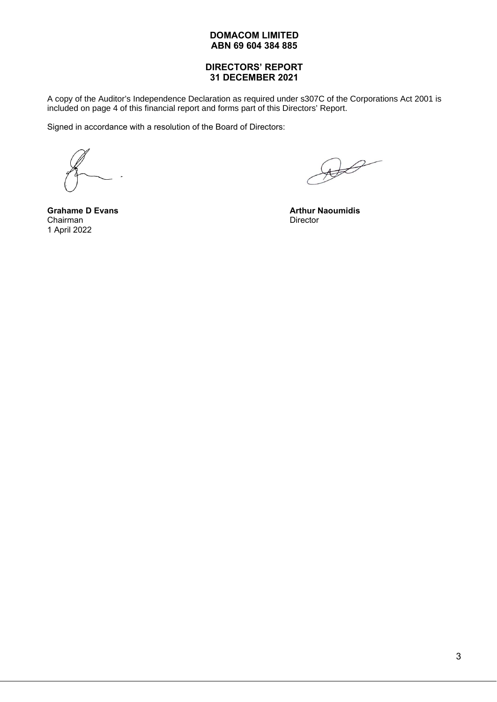## **DIRECTORS' REPORT 31 DECEMBER 2021**

A copy of the Auditor's Independence Declaration as required under s307C of the Corporations Act 2001 is included on page 4 of this financial report and forms part of this Directors' Report.

Signed in accordance with a resolution of the Board of Directors:

**Grahame D Evans** Chairman 1 April 2022

 $\mathscr{B}$ 

**Arthur Naoumidis Director**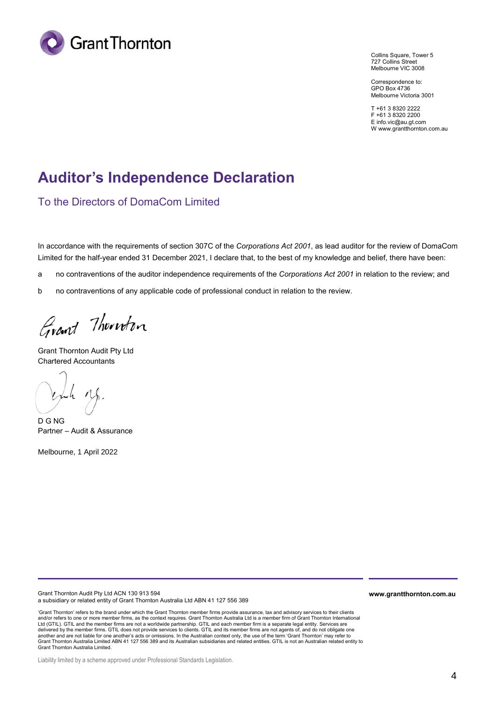

Collins Square, Tower 5 727 Collins Street Melbourne VIC 3008

Correspondence to: GPO Box 4736 Melbourne Victoria 3001

T +61 3 8320 2222 F +61 3 8320 2200 E info.vic@au.gt.com W www.grantthornton.com.au

# **Auditor's Independence Declaration**

To the Directors of DomaCom Limited

In accordance with the requirements of section 307C of the *Corporations Act 2001*, as lead auditor for the review of DomaCom Limited for the half-year ended 31 December 2021, I declare that, to the best of my knowledge and belief, there have been:

a no contraventions of the auditor independence requirements of the *Corporations Act 2001* in relation to the review; and

b no contraventions of any applicable code of professional conduct in relation to the review.

Grant Thornton

Grant Thornton Audit Pty Ltd Chartered Accountants

Juh Mg.

Partner – Audit & Assurance D G NG

Melbourne, 1 April 2022

Grant Thornton Audit Pty Ltd ACN 130 913 594 a subsidiary or related entity of Grant Thornton Australia Ltd ABN 41 127 556 389

'Grant Thornton' refers to the brand under which the Grant Thornton member firms provide assurance, tax and advisory services to their clients and/or refers to one or more member firms, as the context requires. Grant Thornton Australia Ltd is a member firm of Grant Thornton International Ltd (GTIL). GTIL and the member firms are not a worldwide partnership. GTIL and each member firm is a separate legal entity. Services are delivered by the member firms. GTIL does not provide services to clients. GTIL and its member firms are not agents of, and do not obligate one<br>another and are not liable for one another's acts or omissions. In the Australi Grant Thornton Australia Limited.

**www.grantthornton.com.au**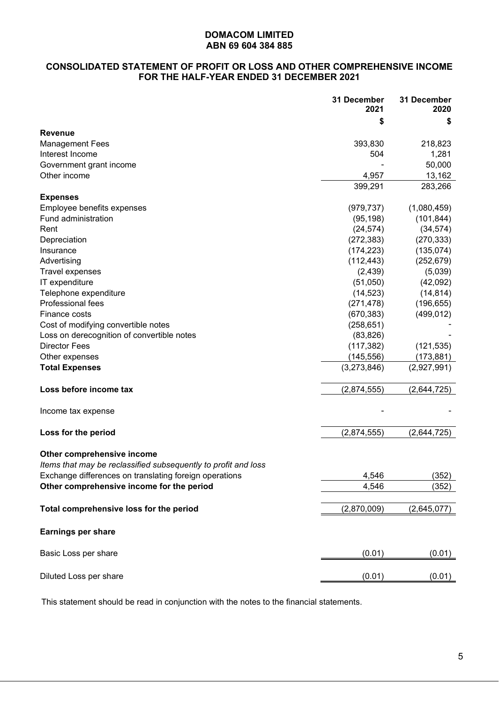## **CONSOLIDATED STATEMENT OF PROFIT OR LOSS AND OTHER COMPREHENSIVE INCOME FOR THE HALF-YEAR ENDED 31 DECEMBER 2021**

|                                                                | 31 December<br>2021 | 31 December<br>2020 |
|----------------------------------------------------------------|---------------------|---------------------|
|                                                                | \$                  | S                   |
| <b>Revenue</b>                                                 |                     |                     |
| <b>Management Fees</b>                                         | 393,830             | 218,823             |
| Interest Income                                                | 504                 | 1,281               |
| Government grant income                                        |                     | 50,000              |
| Other income                                                   | 4,957               | 13,162              |
|                                                                | 399,291             | 283,266             |
| <b>Expenses</b>                                                |                     |                     |
| Employee benefits expenses                                     | (979, 737)          | (1,080,459)         |
| Fund administration                                            | (95, 198)           | (101, 844)          |
| Rent                                                           | (24, 574)           | (34, 574)           |
| Depreciation                                                   | (272, 383)          | (270, 333)          |
| Insurance                                                      | (174, 223)          | (135, 074)          |
| Advertising                                                    | (112, 443)          | (252, 679)          |
| <b>Travel expenses</b>                                         | (2, 439)            | (5,039)             |
| IT expenditure                                                 | (51,050)            | (42,092)            |
| Telephone expenditure                                          | (14, 523)           | (14, 814)           |
| Professional fees                                              | (271, 478)          | (196, 655)          |
| Finance costs                                                  | (670, 383)          | (499, 012)          |
| Cost of modifying convertible notes                            | (258, 651)          |                     |
| Loss on derecognition of convertible notes                     | (83, 826)           |                     |
| <b>Director Fees</b>                                           | (117, 382)          | (121, 535)          |
| Other expenses                                                 | (145, 556)          | (173, 881)          |
| <b>Total Expenses</b>                                          | (3,273,846)         | (2,927,991)         |
| Loss before income tax                                         | (2,874,555)         | (2,644,725)         |
| Income tax expense                                             |                     |                     |
|                                                                |                     |                     |
| Loss for the period                                            | (2,874,555)         | (2,644,725)         |
| Other comprehensive income                                     |                     |                     |
| Items that may be reclassified subsequently to profit and loss |                     |                     |
| Exchange differences on translating foreign operations         | 4,546               | (352)               |
| Other comprehensive income for the period                      | 4,546               | (352)               |
|                                                                |                     |                     |
| Total comprehensive loss for the period                        | (2,870,009)         | (2,645,077)         |
| <b>Earnings per share</b>                                      |                     |                     |
| Basic Loss per share                                           | (0.01)              | (0.01)              |
| Diluted Loss per share                                         | (0.01)              | (0.01)              |
|                                                                |                     |                     |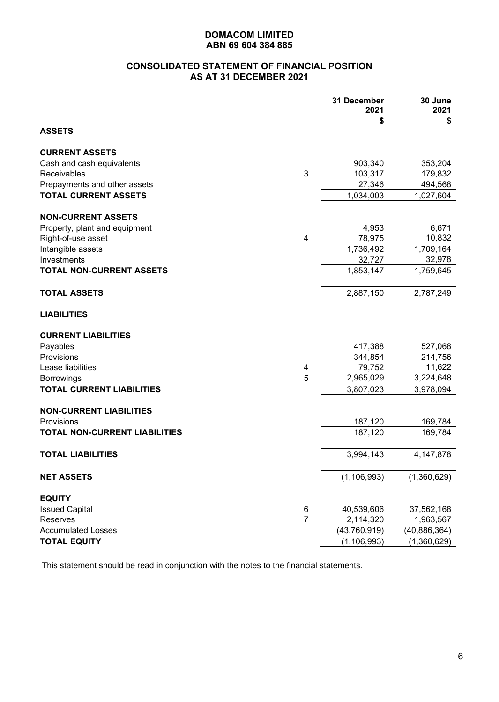## **CONSOLIDATED STATEMENT OF FINANCIAL POSITION AS AT 31 DECEMBER 2021**

|                                      |                | 31 December<br>2021<br>\$ | 30 June<br>2021<br>\$ |
|--------------------------------------|----------------|---------------------------|-----------------------|
| <b>ASSETS</b>                        |                |                           |                       |
| <b>CURRENT ASSETS</b>                |                |                           |                       |
| Cash and cash equivalents            |                | 903,340                   | 353,204               |
| Receivables                          | 3              | 103,317                   | 179,832               |
| Prepayments and other assets         |                | 27,346                    | 494,568               |
| <b>TOTAL CURRENT ASSETS</b>          |                | 1,034,003                 | 1,027,604             |
| <b>NON-CURRENT ASSETS</b>            |                |                           |                       |
| Property, plant and equipment        |                | 4,953                     | 6,671                 |
| Right-of-use asset                   | 4              | 78,975                    | 10,832                |
| Intangible assets                    |                | 1,736,492                 | 1,709,164             |
| Investments                          |                | 32,727                    | 32,978                |
| <b>TOTAL NON-CURRENT ASSETS</b>      |                | 1,853,147                 | 1,759,645             |
|                                      |                |                           |                       |
| <b>TOTAL ASSETS</b>                  |                | 2,887,150                 | 2,787,249             |
| <b>LIABILITIES</b>                   |                |                           |                       |
| <b>CURRENT LIABILITIES</b>           |                |                           |                       |
| Payables                             |                | 417,388                   | 527,068               |
| Provisions                           |                | 344,854                   | 214,756               |
| Lease liabilities                    | 4              | 79,752                    | 11,622                |
| <b>Borrowings</b>                    | 5              | 2,965,029                 | 3,224,648             |
| <b>TOTAL CURRENT LIABILITIES</b>     |                | 3,807,023                 | 3,978,094             |
| <b>NON-CURRENT LIABILITIES</b>       |                |                           |                       |
| Provisions                           |                | 187,120                   | 169,784               |
| <b>TOTAL NON-CURRENT LIABILITIES</b> |                | 187,120                   | 169,784               |
|                                      |                |                           |                       |
| <b>TOTAL LIABILITIES</b>             |                | 3,994,143                 | 4,147,878             |
| <b>NET ASSETS</b>                    |                | (1, 106, 993)             | (1,360,629)           |
| <b>EQUITY</b>                        |                |                           |                       |
| <b>Issued Capital</b>                | 6              | 40,539,606                | 37,562,168            |
| Reserves                             | $\overline{7}$ | 2,114,320                 | 1,963,567             |
| <b>Accumulated Losses</b>            |                | (43,760,919)              | (40, 886, 364)        |
| <b>TOTAL EQUITY</b>                  |                | (1, 106, 993)             | (1,360,629)           |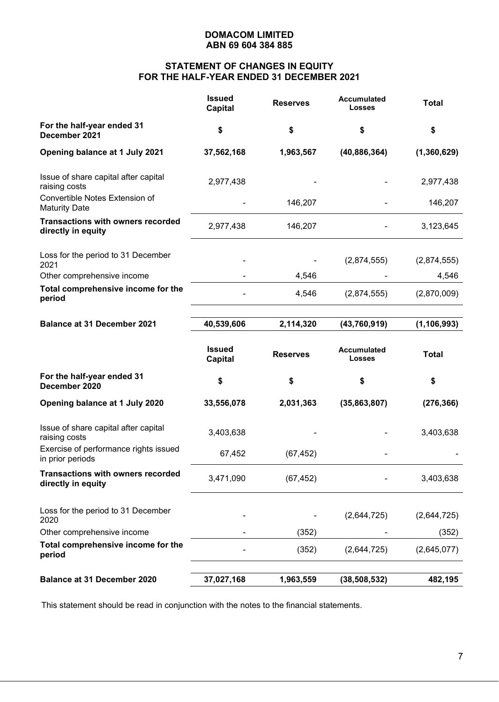# **STATEMENT OF CHANGES IN EQUITY FOR THE HALF-YEAR ENDED 31 DECEMBER 2021**

|                                                                | <b>Issued</b><br><b>Capital</b> | <b>Reserves</b> | <b>Accumulated</b><br>Losses | <b>Total</b>  |
|----------------------------------------------------------------|---------------------------------|-----------------|------------------------------|---------------|
| For the half-year ended 31<br>December 2021                    | \$                              | \$              | \$                           | \$            |
| Opening balance at 1 July 2021                                 | 37,562,168                      | 1,963,567       | (40, 886, 364)               | (1,360,629)   |
| Issue of share capital after capital<br>raising costs          | 2,977,438                       |                 |                              | 2,977,438     |
| Convertible Notes Extension of<br><b>Maturity Date</b>         |                                 | 146,207         |                              | 146,207       |
| <b>Transactions with owners recorded</b><br>directly in equity | 2,977,438                       | 146,207         |                              | 3,123,645     |
| Loss for the period to 31 December<br>2021                     |                                 |                 | (2,874,555)                  | (2,874,555)   |
| Other comprehensive income                                     |                                 | 4,546           |                              | 4,546         |
| Total comprehensive income for the<br>period                   |                                 | 4,546           | (2,874,555)                  | (2,870,009)   |
| <b>Balance at 31 December 2021</b>                             | 40,539,606                      | 2,114,320       | (43, 760, 919)               | (1, 106, 993) |
|                                                                | <b>Issued</b><br><b>Capital</b> | <b>Reserves</b> | Accumulated<br><b>Losses</b> | <b>Total</b>  |
| For the half-year ended 31<br>December 2020                    | \$                              | \$              | \$                           | \$            |
| Opening balance at 1 July 2020                                 | 33,556,078                      | 2,031,363       | (35,863,807)                 | (276, 366)    |
| Issue of share capital after capital<br>raising costs          | 3,403,638                       |                 |                              | 3,403,638     |
| Exercise of performance rights issued<br>in prior periods      | 67,452                          | (67, 452)       |                              |               |
| <b>Transactions with owners recorded</b><br>directly in equity | 3,471,090                       | (67, 452)       |                              | 3,403,638     |
| Loss for the period to 31 December<br>2020                     |                                 |                 | (2,644,725)                  | (2,644,725)   |
| Other comprehensive income                                     |                                 | (352)           |                              | (352)         |
| Total comprehensive income for the<br>period                   |                                 | (352)           | (2,644,725)                  | (2,645,077)   |
|                                                                |                                 |                 |                              |               |
| <b>Balance at 31 December 2020</b>                             | 37,027,168                      | 1,963,559       | (38, 508, 532)               | 482,195       |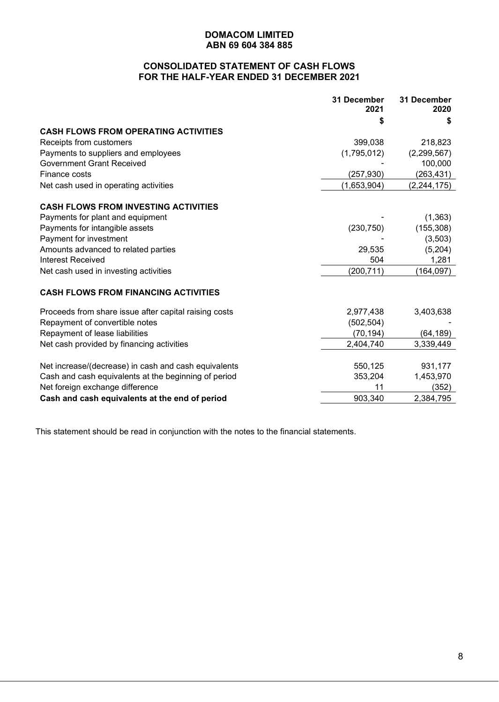## **CONSOLIDATED STATEMENT OF CASH FLOWS FOR THE HALF-YEAR ENDED 31 DECEMBER 2021**

|                                                       | 31 December<br>2021 | 31 December<br>2020 |
|-------------------------------------------------------|---------------------|---------------------|
|                                                       | \$                  | S                   |
| <b>CASH FLOWS FROM OPERATING ACTIVITIES</b>           |                     |                     |
| Receipts from customers                               | 399,038             | 218,823             |
| Payments to suppliers and employees                   | (1,795,012)         | (2, 299, 567)       |
| <b>Government Grant Received</b>                      |                     | 100,000             |
| Finance costs                                         | (257, 930)          | (263, 431)          |
| Net cash used in operating activities                 | (1,653,904)         | (2, 244, 175)       |
| <b>CASH FLOWS FROM INVESTING ACTIVITIES</b>           |                     |                     |
| Payments for plant and equipment                      |                     | (1, 363)            |
| Payments for intangible assets                        | (230, 750)          | (155, 308)          |
| Payment for investment                                |                     | (3,503)             |
| Amounts advanced to related parties                   | 29,535              | (5,204)             |
| <b>Interest Received</b>                              | 504                 | 1,281               |
| Net cash used in investing activities                 | (200, 711)          | (164, 097)          |
| <b>CASH FLOWS FROM FINANCING ACTIVITIES</b>           |                     |                     |
| Proceeds from share issue after capital raising costs | 2,977,438           | 3,403,638           |
| Repayment of convertible notes                        | (502, 504)          |                     |
| Repayment of lease liabilities                        | (70, 194)           | (64,189)            |
| Net cash provided by financing activities             | 2,404,740           | 3,339,449           |
| Net increase/(decrease) in cash and cash equivalents  | 550,125             | 931,177             |
| Cash and cash equivalents at the beginning of period  | 353,204             | 1,453,970           |
| Net foreign exchange difference                       | 11                  | (352)               |
| Cash and cash equivalents at the end of period        | 903,340             | 2,384,795           |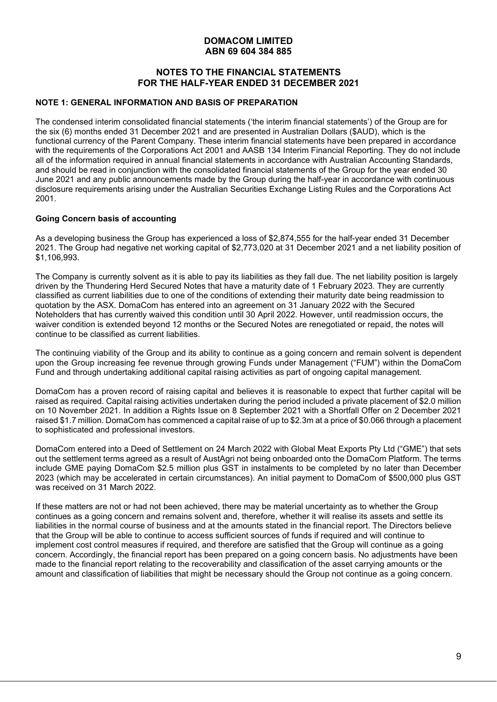## **NOTES TO THE FINANCIAL STATEMENTS FOR THE HALF-YEAR ENDED 31 DECEMBER 2021**

#### **NOTE 1: GENERAL INFORMATION AND BASIS OF PREPARATION**

The condensed interim consolidated financial statements ('the interim financial statements') of the Group are for the six (6) months ended 31 December 2021 and are presented in Australian Dollars (\$AUD), which is the functional currency of the Parent Company. These interim financial statements have been prepared in accordance with the requirements of the Corporations Act 2001 and AASB 134 Interim Financial Reporting. They do not include all of the information required in annual financial statements in accordance with Australian Accounting Standards, and should be read in conjunction with the consolidated financial statements of the Group for the year ended 30 June 2021 and any public announcements made by the Group during the half-year in accordance with continuous disclosure requirements arising under the Australian Securities Exchange Listing Rules and the Corporations Act 2001.

## **Going Concern basis of accounting**

As a developing business the Group has experienced a loss of \$2,874,555 for the half-year ended 31 December 2021. The Group had negative net working capital of \$2,773,020 at 31 December 2021 and a net liability position of \$1,106,993.

The Company is currently solvent as it is able to pay its liabilities as they fall due. The net liability position is largely driven by the Thundering Herd Secured Notes that have a maturity date of 1 February 2023. They are currently classified as current liabilities due to one of the conditions of extending their maturity date being readmission to quotation by the ASX. DomaCom has entered into an agreement on 31 January 2022 with the Secured Noteholders that has currently waived this condition until 30 April 2022. However, until readmission occurs, the waiver condition is extended beyond 12 months or the Secured Notes are renegotiated or repaid, the notes will continue to be classified as current liabilities.

The continuing viability of the Group and its ability to continue as a going concern and remain solvent is dependent upon the Group increasing fee revenue through growing Funds under Management ("FUM") within the DomaCom Fund and through undertaking additional capital raising activities as part of ongoing capital management.

DomaCom has a proven record of raising capital and believes it is reasonable to expect that further capital will be raised as required. Capital raising activities undertaken during the period included a private placement of \$2.0 million on 10 November 2021. In addition a Rights Issue on 8 September 2021 with a Shortfall Offer on 2 December 2021 raised \$1.7 million. DomaCom has commenced a capital raise of up to \$2.3m at a price of \$0.066 through a placement to sophisticated and professional investors.

DomaCom entered into a Deed of Settlement on 24 March 2022 with Global Meat Exports Pty Ltd ("GME") that sets out the settlement terms agreed as a result of AustAgri not being onboarded onto the DomaCom Platform. The terms include GME paying DomaCom \$2.5 million plus GST in instalments to be completed by no later than December 2023 (which may be accelerated in certain circumstances). An initial payment to DomaCom of \$500,000 plus GST was received on 31 March 2022.

If these matters are not or had not been achieved, there may be material uncertainty as to whether the Group continues as a going concern and remains solvent and, therefore, whether it will realise its assets and settle its liabilities in the normal course of business and at the amounts stated in the financial report. The Directors believe that the Group will be able to continue to access sufficient sources of funds if required and will continue to implement cost control measures if required, and therefore are satisfied that the Group will continue as a going concern. Accordingly, the financial report has been prepared on a going concern basis. No adjustments have been made to the financial report relating to the recoverability and classification of the asset carrying amounts or the amount and classification of liabilities that might be necessary should the Group not continue as a going concern.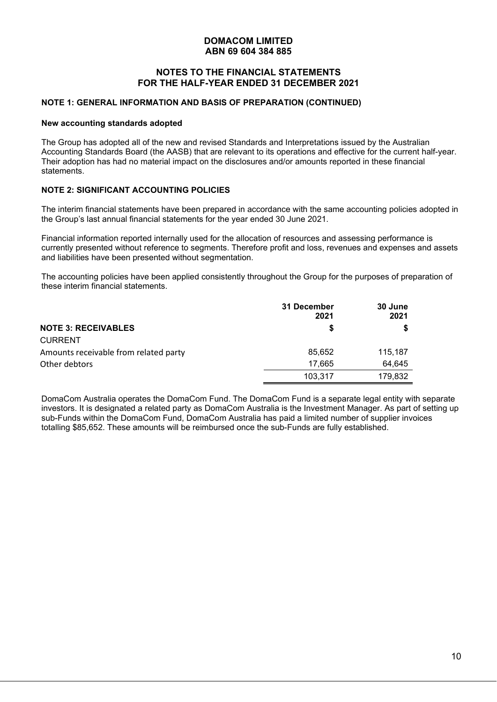## **NOTES TO THE FINANCIAL STATEMENTS FOR THE HALF-YEAR ENDED 31 DECEMBER 2021**

#### **NOTE 1: GENERAL INFORMATION AND BASIS OF PREPARATION (CONTINUED)**

#### **New accounting standards adopted**

The Group has adopted all of the new and revised Standards and Interpretations issued by the Australian Accounting Standards Board (the AASB) that are relevant to its operations and effective for the current half-year. Their adoption has had no material impact on the disclosures and/or amounts reported in these financial statements.

#### **NOTE 2: SIGNIFICANT ACCOUNTING POLICIES**

The interim financial statements have been prepared in accordance with the same accounting policies adopted in the Group's last annual financial statements for the year ended 30 June 2021.

Financial information reported internally used for the allocation of resources and assessing performance is currently presented without reference to segments. Therefore profit and loss, revenues and expenses and assets and liabilities have been presented without segmentation.

The accounting policies have been applied consistently throughout the Group for the purposes of preparation of these interim financial statements.

|                                       | 31 December<br>2021 | 30 June<br>2021 |
|---------------------------------------|---------------------|-----------------|
| <b>NOTE 3: RECEIVABLES</b>            | \$                  |                 |
| <b>CURRENT</b>                        |                     |                 |
| Amounts receivable from related party | 85,652              | 115,187         |
| Other debtors                         | 17.665              | 64,645          |
|                                       | 103,317             | 179,832         |

DomaCom Australia operates the DomaCom Fund. The DomaCom Fund is a separate legal entity with separate investors. It is designated a related party as DomaCom Australia is the Investment Manager. As part of setting up sub-Funds within the DomaCom Fund, DomaCom Australia has paid a limited number of supplier invoices totalling \$85,652. These amounts will be reimbursed once the sub-Funds are fully established.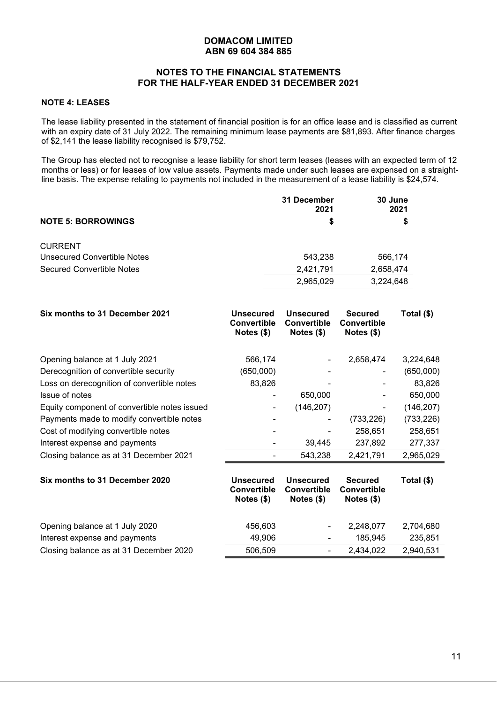## **NOTES TO THE FINANCIAL STATEMENTS FOR THE HALF-YEAR ENDED 31 DECEMBER 2021**

#### **NOTE 4: LEASES**

The lease liability presented in the statement of financial position is for an office lease and is classified as current with an expiry date of 31 July 2022. The remaining minimum lease payments are \$81,893. After finance charges of \$2,141 the lease liability recognised is \$79,752.

The Group has elected not to recognise a lease liability for short term leases (leases with an expected term of 12 months or less) or for leases of low value assets. Payments made under such leases are expensed on a straightline basis. The expense relating to payments not included in the measurement of a lease liability is \$24,574.

|                                    | 31 December<br>2021 | 30 June<br>2021 |  |
|------------------------------------|---------------------|-----------------|--|
| <b>NOTE 5: BORROWINGS</b>          | S                   | \$              |  |
| <b>CURRENT</b>                     |                     |                 |  |
| <b>Unsecured Convertible Notes</b> | 543.238             | 566,174         |  |
| Secured Convertible Notes          | 2,421,791           | 2,658,474       |  |
|                                    | 2,965,029           | 3,224,648       |  |

| Six months to 31 December 2021               | <b>Unsecured</b><br><b>Convertible</b><br>Notes $(\$)$ | <b>Unsecured</b><br><b>Convertible</b><br>Notes $(\$)$ | <b>Secured</b><br><b>Convertible</b><br>Notes $(\$)$ | Total (\$) |
|----------------------------------------------|--------------------------------------------------------|--------------------------------------------------------|------------------------------------------------------|------------|
| Opening balance at 1 July 2021               | 566,174                                                |                                                        | 2,658,474                                            | 3,224,648  |
| Derecognition of convertible security        | (650,000)                                              |                                                        |                                                      | (650,000)  |
| Loss on derecognition of convertible notes   | 83,826                                                 |                                                        |                                                      | 83,826     |
| Issue of notes                               |                                                        | 650,000                                                |                                                      | 650,000    |
| Equity component of convertible notes issued | ۰                                                      | (146, 207)                                             |                                                      | (146, 207) |
| Payments made to modify convertible notes    |                                                        |                                                        | (733, 226)                                           | (733, 226) |
| Cost of modifying convertible notes          |                                                        |                                                        | 258,651                                              | 258,651    |
| Interest expense and payments                |                                                        | 39,445                                                 | 237,892                                              | 277,337    |
| Closing balance as at 31 December 2021       |                                                        | 543,238                                                | 2,421,791                                            | 2,965,029  |
| Six months to 31 December 2020               | <b>Unsecured</b><br><b>Convertible</b><br>Notes $(\$)$ | <b>Unsecured</b><br><b>Convertible</b><br>Notes $(\$)$ | <b>Secured</b><br><b>Convertible</b><br>Notes $(\$)$ | Total (\$) |
| Opening balance at 1 July 2020               | 456,603                                                |                                                        | 2,248,077                                            | 2,704,680  |
| Interest expense and payments                | 49,906                                                 |                                                        | 185,945                                              | 235,851    |
| Closing balance as at 31 December 2020       | 506,509                                                |                                                        | 2,434,022                                            | 2,940,531  |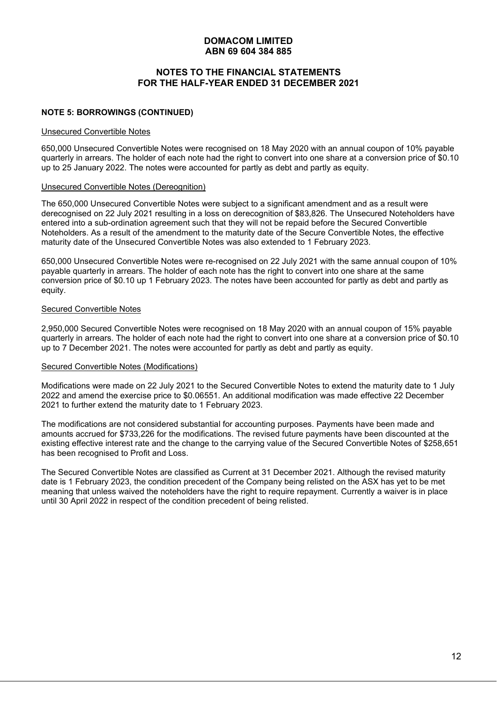## **NOTES TO THE FINANCIAL STATEMENTS FOR THE HALF-YEAR ENDED 31 DECEMBER 2021**

#### **NOTE 5: BORROWINGS (CONTINUED)**

#### Unsecured Convertible Notes

650,000 Unsecured Convertible Notes were recognised on 18 May 2020 with an annual coupon of 10% payable quarterly in arrears. The holder of each note had the right to convert into one share at a conversion price of \$0.10 up to 25 January 2022. The notes were accounted for partly as debt and partly as equity.

#### Unsecured Convertible Notes (Dereognition)

The 650,000 Unsecured Convertible Notes were subject to a significant amendment and as a result were derecognised on 22 July 2021 resulting in a loss on derecognition of \$83,826. The Unsecured Noteholders have entered into a sub-ordination agreement such that they will not be repaid before the Secured Convertible Noteholders. As a result of the amendment to the maturity date of the Secure Convertible Notes, the effective maturity date of the Unsecured Convertible Notes was also extended to 1 February 2023.

650,000 Unsecured Convertible Notes were re-recognised on 22 July 2021 with the same annual coupon of 10% payable quarterly in arrears. The holder of each note has the right to convert into one share at the same conversion price of \$0.10 up 1 February 2023. The notes have been accounted for partly as debt and partly as equity.

#### Secured Convertible Notes

2,950,000 Secured Convertible Notes were recognised on 18 May 2020 with an annual coupon of 15% payable quarterly in arrears. The holder of each note had the right to convert into one share at a conversion price of \$0.10 up to 7 December 2021. The notes were accounted for partly as debt and partly as equity.

#### Secured Convertible Notes (Modifications)

Modifications were made on 22 July 2021 to the Secured Convertible Notes to extend the maturity date to 1 July 2022 and amend the exercise price to \$0.06551. An additional modification was made effective 22 December 2021 to further extend the maturity date to 1 February 2023.

The modifications are not considered substantial for accounting purposes. Payments have been made and amounts accrued for \$733,226 for the modifications. The revised future payments have been discounted at the existing effective interest rate and the change to the carrying value of the Secured Convertible Notes of \$258,651 has been recognised to Profit and Loss.

The Secured Convertible Notes are classified as Current at 31 December 2021. Although the revised maturity date is 1 February 2023, the condition precedent of the Company being relisted on the ASX has yet to be met meaning that unless waived the noteholders have the right to require repayment. Currently a waiver is in place until 30 April 2022 in respect of the condition precedent of being relisted.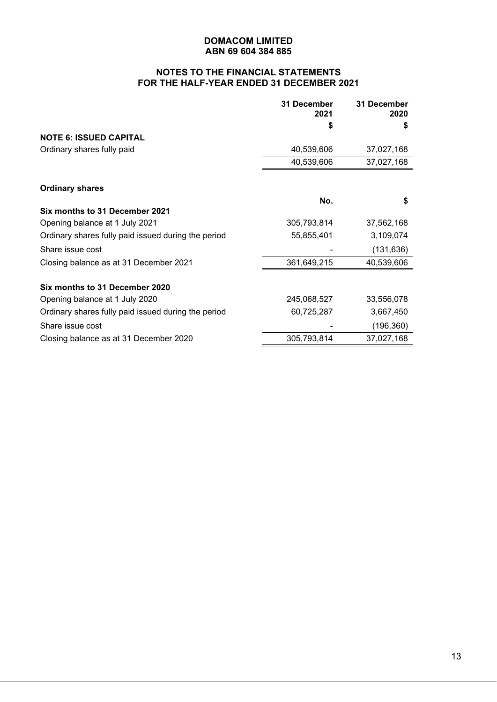# **NOTES TO THE FINANCIAL STATEMENTS FOR THE HALF-YEAR ENDED 31 DECEMBER 2021**

|                                                     | 31 December<br>2021 | 31 December<br>2020 |
|-----------------------------------------------------|---------------------|---------------------|
|                                                     | S                   | S                   |
| <b>NOTE 6: ISSUED CAPITAL</b>                       |                     |                     |
| Ordinary shares fully paid                          | 40,539,606          | 37,027,168          |
|                                                     | 40,539,606          | 37,027,168          |
| <b>Ordinary shares</b>                              |                     |                     |
|                                                     | No.                 | \$                  |
| Six months to 31 December 2021                      |                     |                     |
| Opening balance at 1 July 2021                      | 305,793,814         | 37,562,168          |
| Ordinary shares fully paid issued during the period | 55,855,401          | 3,109,074           |
| Share issue cost                                    |                     | (131, 636)          |
| Closing balance as at 31 December 2021              | 361,649,215         | 40,539,606          |
| Six months to 31 December 2020                      |                     |                     |
| Opening balance at 1 July 2020                      | 245,068,527         | 33,556,078          |
| Ordinary shares fully paid issued during the period | 60,725,287          | 3,667,450           |
| Share issue cost                                    |                     | (196, 360)          |
| Closing balance as at 31 December 2020              | 305,793,814         | 37,027,168          |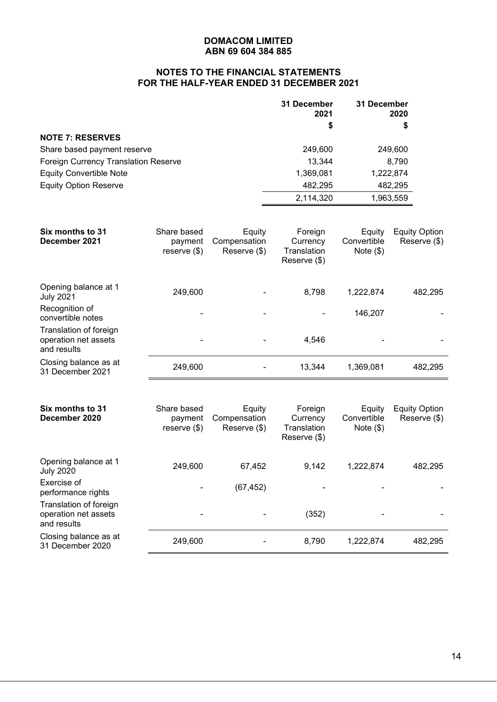# **NOTES TO THE FINANCIAL STATEMENTS FOR THE HALF-YEAR ENDED 31 DECEMBER 2021**

|                                      | 31 December<br>2021 | 31 December<br>2020 |
|--------------------------------------|---------------------|---------------------|
|                                      | \$                  |                     |
| <b>NOTE 7: RESERVES</b>              |                     |                     |
| Share based payment reserve          | 249.600             | 249,600             |
| Foreign Currency Translation Reserve | 13,344              | 8,790               |
| <b>Equity Convertible Note</b>       | 1,369,081           | 1,222,874           |
| <b>Equity Option Reserve</b>         | 482,295             | 482,295             |
|                                      | 2,114,320           | 1,963,559           |

| Six months to 31<br>December 2021                             | Share based<br>payment<br>reserve $(\$)$ | Equity<br>Compensation<br>Reserve (\$) | Foreign<br>Currency<br>Translation<br>Reserve (\$) | Equity<br>Convertible<br>Note $(\$)$ | <b>Equity Option</b><br>Reserve (\$) |
|---------------------------------------------------------------|------------------------------------------|----------------------------------------|----------------------------------------------------|--------------------------------------|--------------------------------------|
| Opening balance at 1<br><b>July 2021</b>                      | 249,600                                  |                                        | 8,798                                              | 1,222,874                            | 482,295                              |
| Recognition of<br>convertible notes                           |                                          |                                        |                                                    | 146,207                              |                                      |
| Translation of foreign<br>operation net assets<br>and results |                                          |                                        | 4,546                                              |                                      |                                      |
| Closing balance as at<br>31 December 2021                     | 249,600                                  |                                        | 13,344                                             | 1,369,081                            | 482,295                              |

| Six months to 31<br>December 2020                             | Share based<br>payment<br>reserve $(\$)$ | Equity<br>Compensation<br>Reserve (\$) | Foreign<br>Currency<br>Translation<br>Reserve (\$) | Equity<br>Convertible<br>Note $(\$)$ | <b>Equity Option</b><br>Reserve (\$) |
|---------------------------------------------------------------|------------------------------------------|----------------------------------------|----------------------------------------------------|--------------------------------------|--------------------------------------|
| Opening balance at 1<br><b>July 2020</b>                      | 249,600                                  | 67,452                                 | 9,142                                              | 1,222,874                            | 482,295                              |
| Exercise of<br>performance rights                             |                                          | (67, 452)                              |                                                    |                                      |                                      |
| Translation of foreign<br>operation net assets<br>and results |                                          |                                        | (352)                                              |                                      |                                      |
| Closing balance as at<br>31 December 2020                     | 249,600                                  |                                        | 8,790                                              | 1,222,874                            | 482,295                              |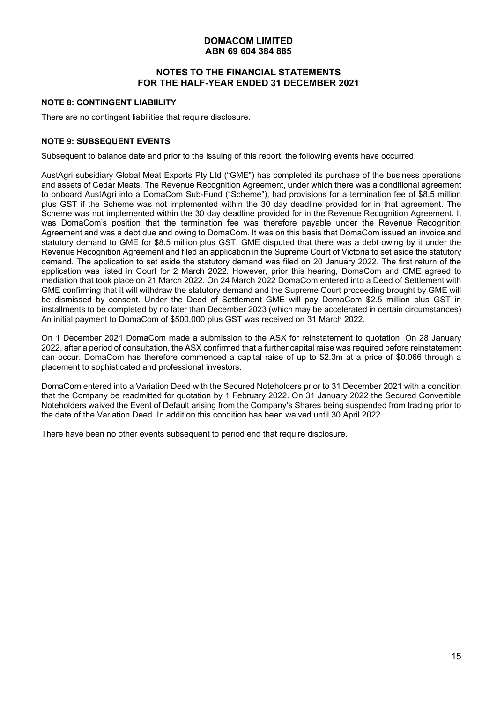## **NOTES TO THE FINANCIAL STATEMENTS FOR THE HALF-YEAR ENDED 31 DECEMBER 2021**

#### **NOTE 8: CONTINGENT LIABIILITY**

There are no contingent liabilities that require disclosure.

## **NOTE 9: SUBSEQUENT EVENTS**

Subsequent to balance date and prior to the issuing of this report, the following events have occurred:

AustAgri subsidiary Global Meat Exports Pty Ltd ("GME") has completed its purchase of the business operations and assets of Cedar Meats. The Revenue Recognition Agreement, under which there was a conditional agreement to onboard AustAgri into a DomaCom Sub-Fund ("Scheme"), had provisions for a termination fee of \$8.5 million plus GST if the Scheme was not implemented within the 30 day deadline provided for in that agreement. The Scheme was not implemented within the 30 day deadline provided for in the Revenue Recognition Agreement. It was DomaCom's position that the termination fee was therefore payable under the Revenue Recognition Agreement and was a debt due and owing to DomaCom. It was on this basis that DomaCom issued an invoice and statutory demand to GME for \$8.5 million plus GST. GME disputed that there was a debt owing by it under the Revenue Recognition Agreement and filed an application in the Supreme Court of Victoria to set aside the statutory demand. The application to set aside the statutory demand was filed on 20 January 2022. The first return of the application was listed in Court for 2 March 2022. However, prior this hearing, DomaCom and GME agreed to mediation that took place on 21 March 2022. On 24 March 2022 DomaCom entered into a Deed of Settlement with GME confirming that it will withdraw the statutory demand and the Supreme Court proceeding brought by GME will be dismissed by consent. Under the Deed of Settlement GME will pay DomaCom \$2.5 million plus GST in installments to be completed by no later than December 2023 (which may be accelerated in certain circumstances) An initial payment to DomaCom of \$500,000 plus GST was received on 31 March 2022.

On 1 December 2021 DomaCom made a submission to the ASX for reinstatement to quotation. On 28 January 2022, after a period of consultation, the ASX confirmed that a further capital raise was required before reinstatement can occur. DomaCom has therefore commenced a capital raise of up to \$2.3m at a price of \$0.066 through a placement to sophisticated and professional investors.

DomaCom entered into a Variation Deed with the Secured Noteholders prior to 31 December 2021 with a condition that the Company be readmitted for quotation by 1 February 2022. On 31 January 2022 the Secured Convertible Noteholders waived the Event of Default arising from the Company's Shares being suspended from trading prior to the date of the Variation Deed. In addition this condition has been waived until 30 April 2022.

There have been no other events subsequent to period end that require disclosure.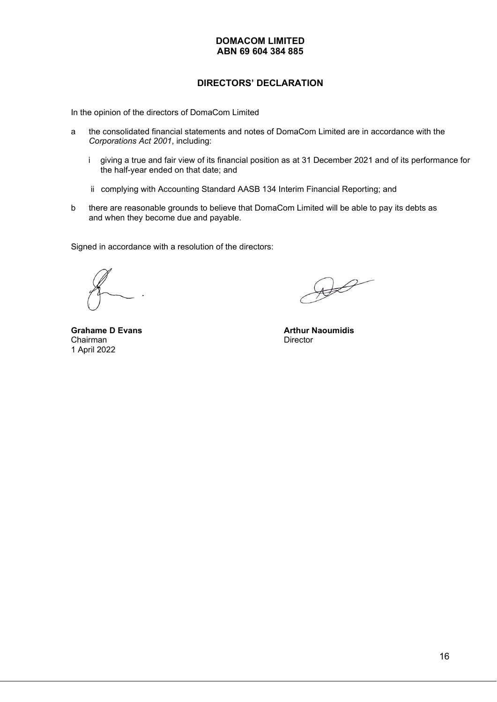## **DIRECTORS' DECLARATION**

In the opinion of the directors of DomaCom Limited

- a the consolidated financial statements and notes of DomaCom Limited are in accordance with the *Corporations Act 2001*, including:
	- i giving a true and fair view of its financial position as at 31 December 2021 and of its performance for the half-year ended on that date; and
	- ii complying with Accounting Standard AASB 134 Interim Financial Reporting; and
- b there are reasonable grounds to believe that DomaCom Limited will be able to pay its debts as and when they become due and payable.

Signed in accordance with a resolution of the directors:

 $\bigoplus$ 

Chairman 1 April 2022

**Grahame D Evans Arthur Naoumidis**<br>
Chairman **Arthur Naoumidis**<br>
Director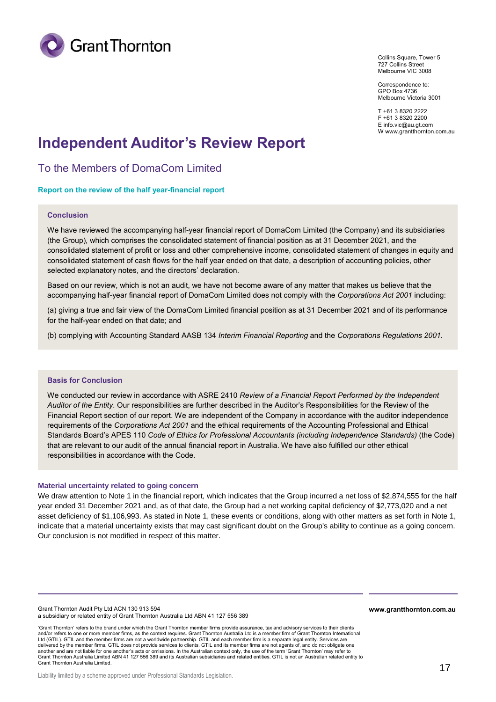

Collins Square, Tower 5 727 Collins Street Melbourne VIC 3008

Correspondence to: GPO Box 4736 Melbourne Victoria 3001

T +61 3 8320 2222 F +61 3 8320 2200 E info.vic@au.gt.com W www.grantthornton.com.au

# **Independent Auditor's Review Report**

To the Members of DomaCom Limited

**Report on the review of the half year-financial report** 

#### **Conclusion**

We have reviewed the accompanying half-year financial report of DomaCom Limited (the Company) and its subsidiaries (the Group), which comprises the consolidated statement of financial position as at 31 December 2021, and the consolidated statement of profit or loss and other comprehensive income, consolidated statement of changes in equity and consolidated statement of cash flows for the half year ended on that date, a description of accounting policies, other selected explanatory notes, and the directors' declaration.

Based on our review, which is not an audit, we have not become aware of any matter that makes us believe that the accompanying half-year financial report of DomaCom Limited does not comply with the *Corporations Act 2001* including:

(a) giving a true and fair view of the DomaCom Limited financial position as at 31 December 2021 and of its performance for the half-year ended on that date; and

(b) complying with Accounting Standard AASB 134 *Interim Financial Reporting* and the *Corporations Regulations 2001.*

#### **Basis for Conclusion**

We conducted our review in accordance with ASRE 2410 *Review of a Financial Report Performed by the Independent Auditor of the Entity*. Our responsibilities are further described in the Auditor's Responsibilities for the Review of the Financial Report section of our report. We are independent of the Company in accordance with the auditor independence requirements of the *Corporations Act 2001* and the ethical requirements of the Accounting Professional and Ethical Standards Board's APES 110 *Code of Ethics for Professional Accountants (including Independence Standards)* (the Code) that are relevant to our audit of the annual financial report in Australia. We have also fulfilled our other ethical responsibilities in accordance with the Code.

#### **Material uncertainty related to going concern**

We draw attention to Note 1 in the financial report, which indicates that the Group incurred a net loss of \$2,874,555 for the half year ended 31 December 2021 and, as of that date, the Group had a net working capital deficiency of \$2,773,020 and a net asset deficiency of \$1,106,993. As stated in Note 1, these events or conditions, along with other matters as set forth in Note 1, indicate that a material uncertainty exists that may cast significant doubt on the Group's ability to continue as a going concern. Our conclusion is not modified in respect of this matter.

Grant Thornton Audit Pty Ltd ACN 130 913 594 **www.grantthornton.com.au** a subsidiary or related entity of Grant Thornton Australia Ltd ABN 41 127 556 389

'Grant Thornton' refers to the brand under which the Grant Thornton member firms provide assurance, tax and advisory services to their clients and/or refers to one or more member firms, as the context requires. Grant Thornton Australia Ltd is a member firm of Grant Thornton International Ltd (GTIL). GTIL and the member firms are not a worldwide partnership. GTIL and each member firm is a separate legal entity. Services are delivered by the member firms. GTIL does not provide services to clients. GTIL and its member firms are not agents of, and do not obligate one another and are not liable for one another's acts or omissions. In the Australian context only, the use of the term 'Grant Thornton' may refer to Grant Thornton Australia Limited ABN 41 127 556 389 and its Australian subsidiaries and related entities. GTIL is not an Australian related entity to Grant Thornton Australia Limited.